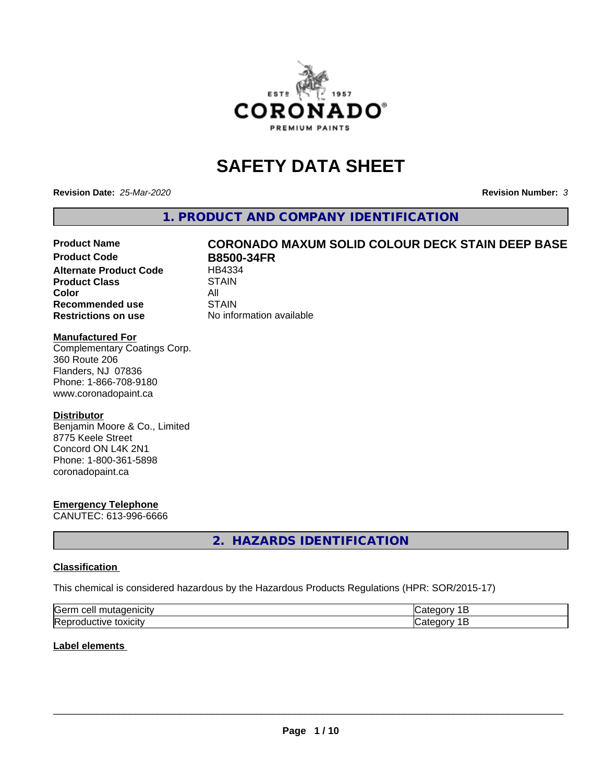

# **SAFETY DATA SHEET**

**Revision Date:** *25-Mar-2020* **Revision Number:** *3*

**1. PRODUCT AND COMPANY IDENTIFICATION**

# Product Name **CORONADO MAXUM SOLID COLOUR DECK STAIN DEEP BASE**<br>Product Code **RR500-34ER**

**Alternate Product Code Product Class STAIN Color** All All<br>**Recommended use** STAIN **Recommended use Restrictions on use** No information available

**B8500-34FR**<br>HB4334

#### **Manufactured For**

Complementary Coatings Corp. 360 Route 206 Flanders, NJ 07836 Phone: 1-866-708-9180 www.coronadopaint.ca

#### **Distributor**

Benjamin Moore & Co., Limited 8775 Keele Street Concord ON L4K 2N1 Phone: 1-800-361-5898 coronadopaint.ca

### **Emergency Telephone**

CANUTEC: 613-996-6666

**2. HAZARDS IDENTIFICATION**

#### **Classification**

This chemical is considered hazardous by the Hazardous Products Regulations (HPR: SOR/2015-17)

| <b>Serm</b><br>---<br>----<br>$\sim$<br>$\sqrt{2}$ | ----  |
|----------------------------------------------------|-------|
| Re <sub>i</sub><br>*OXICITV<br>11 L<br>и<br>ш      | - - - |

#### **Label elements**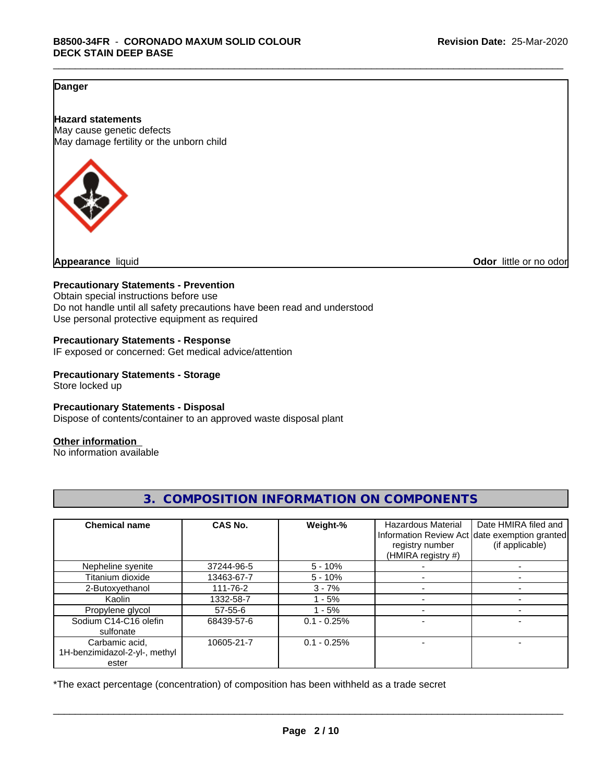### **Danger**

**Hazard statements** May cause genetic defects May damage fertility or the unborn child



**Appearance** liquid **Odor 11** and **Odor 11** and **Odor 11** and **Odor 11** and **Odor Odor 1** and **Odor 1** and **Odor 1** and **Odor 1** and **Odor 1** and **1** and **1** and **1** and **1** and **1** and **1** and **1** and **1** and

#### **Precautionary Statements - Prevention**

Obtain special instructions before use Do not handle until all safety precautions have been read and understood Use personal protective equipment as required

#### **Precautionary Statements - Response**

IF exposed or concerned: Get medical advice/attention

### **Precautionary Statements - Storage**

Store locked up

#### **Precautionary Statements - Disposal**

Dispose of contents/container to an approved waste disposal plant

#### **Other information**

No information available

| <b>Chemical name</b>                                     | <b>CAS No.</b> | Weight-%      | <b>Hazardous Material</b><br>registry number<br>(HMIRA registry #) | Date HMIRA filed and<br>Information Review Act date exemption granted<br>(if applicable) |
|----------------------------------------------------------|----------------|---------------|--------------------------------------------------------------------|------------------------------------------------------------------------------------------|
| Nepheline syenite                                        | 37244-96-5     | $5 - 10%$     |                                                                    |                                                                                          |
| Titanium dioxide                                         | 13463-67-7     | $5 - 10%$     |                                                                    |                                                                                          |
| 2-Butoxyethanol                                          | 111-76-2       | $3 - 7%$      |                                                                    |                                                                                          |
| Kaolin                                                   | 1332-58-7      | $1 - 5%$      |                                                                    |                                                                                          |
| Propylene glycol                                         | $57 - 55 - 6$  | $1 - 5%$      |                                                                    |                                                                                          |
| Sodium C14-C16 olefin<br>sulfonate                       | 68439-57-6     | $0.1 - 0.25%$ | $\overline{\phantom{a}}$                                           |                                                                                          |
| Carbamic acid,<br>1H-benzimidazol-2-yl-, methyl<br>ester | 10605-21-7     | $0.1 - 0.25%$ |                                                                    |                                                                                          |

**3. COMPOSITION INFORMATION ON COMPONENTS**

\*The exact percentage (concentration) of composition has been withheld as a trade secret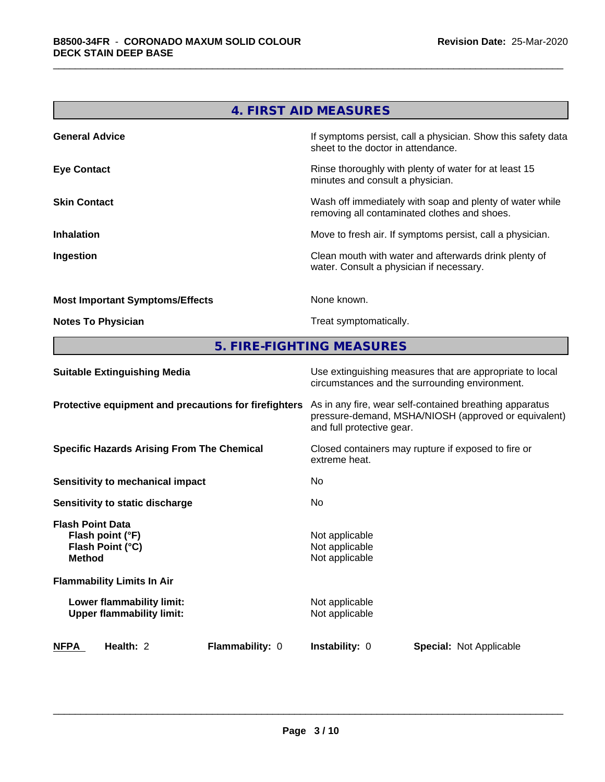| 4. FIRST AID MEASURES                  |                                                                                                          |  |
|----------------------------------------|----------------------------------------------------------------------------------------------------------|--|
| <b>General Advice</b>                  | If symptoms persist, call a physician. Show this safety data<br>sheet to the doctor in attendance.       |  |
| <b>Eye Contact</b>                     | Rinse thoroughly with plenty of water for at least 15<br>minutes and consult a physician.                |  |
| <b>Skin Contact</b>                    | Wash off immediately with soap and plenty of water while<br>removing all contaminated clothes and shoes. |  |
| <b>Inhalation</b>                      | Move to fresh air. If symptoms persist, call a physician.                                                |  |
| Ingestion                              | Clean mouth with water and afterwards drink plenty of<br>water. Consult a physician if necessary.        |  |
| <b>Most Important Symptoms/Effects</b> | None known.                                                                                              |  |
| <b>Notes To Physician</b>              | Treat symptomatically.                                                                                   |  |

**5. FIRE-FIGHTING MEASURES**

| <b>Suitable Extinguishing Media</b>                                              | Use extinguishing measures that are appropriate to local<br>circumstances and the surrounding environment.                                   |  |  |
|----------------------------------------------------------------------------------|----------------------------------------------------------------------------------------------------------------------------------------------|--|--|
| Protective equipment and precautions for firefighters                            | As in any fire, wear self-contained breathing apparatus<br>pressure-demand, MSHA/NIOSH (approved or equivalent)<br>and full protective gear. |  |  |
| <b>Specific Hazards Arising From The Chemical</b>                                | Closed containers may rupture if exposed to fire or<br>extreme heat.                                                                         |  |  |
| Sensitivity to mechanical impact                                                 | No.                                                                                                                                          |  |  |
| <b>Sensitivity to static discharge</b>                                           | No.                                                                                                                                          |  |  |
| <b>Flash Point Data</b><br>Flash point (°F)<br>Flash Point (°C)<br><b>Method</b> | Not applicable<br>Not applicable<br>Not applicable                                                                                           |  |  |
| <b>Flammability Limits In Air</b>                                                |                                                                                                                                              |  |  |
| Lower flammability limit:<br><b>Upper flammability limit:</b>                    | Not applicable<br>Not applicable                                                                                                             |  |  |
| <b>NFPA</b><br>Health: 2<br><b>Flammability: 0</b>                               | <b>Instability: 0</b><br><b>Special: Not Applicable</b>                                                                                      |  |  |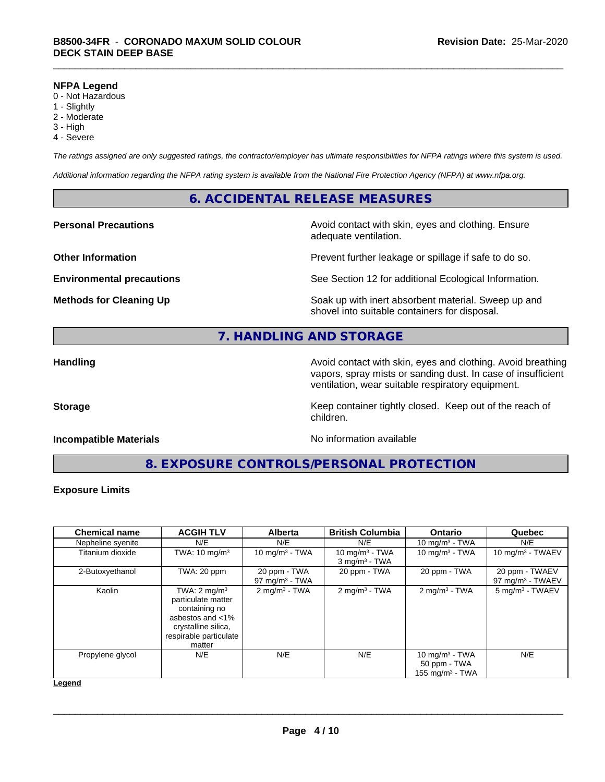#### **NFPA Legend**

- 0 Not Hazardous
- 1 Slightly
- 2 Moderate
- 3 High
- 4 Severe

*The ratings assigned are only suggested ratings, the contractor/employer has ultimate responsibilities for NFPA ratings where this system is used.*

*Additional information regarding the NFPA rating system is available from the National Fire Protection Agency (NFPA) at www.nfpa.org.*

### **6. ACCIDENTAL RELEASE MEASURES**

**Personal Precautions Avoid contact with skin, eyes and clothing. Ensure** Avoid contact with skin, eyes and clothing. Ensure adequate ventilation.

**Other Information Department Information Department Intervent further leakage or spillage if safe to do so.** 

**Environmental precautions** See Section 12 for additional Ecological Information.

**Methods for Cleaning Up Example 20 Soak** up with inert absorbent material. Sweep up and shovel into suitable containers for disposal.

# **7. HANDLING AND STORAGE**

**Handling Handling Avoid contact with skin, eyes and clothing. Avoid breathing H** vapors, spray mists or sanding dust. In case of insufficient ventilation, wear suitable respiratory equipment.

**Storage** Storage **Keep container tightly closed.** Keep out of the reach of

#### **Incompatible Materials Incompatible Materials No information available**

**8. EXPOSURE CONTROLS/PERSONAL PROTECTION**

children.

#### **Exposure Limits**

| <b>Chemical name</b> | <b>ACGIH TLV</b>                                                                                                                              | <b>Alberta</b>                    | <b>British Columbia</b>                          | <b>Ontario</b>                                          | Quebec                                         |
|----------------------|-----------------------------------------------------------------------------------------------------------------------------------------------|-----------------------------------|--------------------------------------------------|---------------------------------------------------------|------------------------------------------------|
| Nepheline syenite    | N/E                                                                                                                                           | N/E                               | N/E                                              | 10 mg/m $3$ - TWA                                       | N/E                                            |
| Titanium dioxide     | TWA: $10 \text{ mg/m}^3$                                                                                                                      | 10 mg/m $3 - TWA$                 | 10 mg/m $3$ - TWA<br>$3$ mg/m <sup>3</sup> - TWA | 10 mg/m $3$ - TWA                                       | 10 mg/m $3$ - TWAEV                            |
| 2-Butoxyethanol      | TWA: 20 ppm                                                                                                                                   | 20 ppm - TWA<br>97 mg/m $3$ - TWA | 20 ppm - TWA                                     | 20 ppm - TWA                                            | 20 ppm - TWAEV<br>97 mg/m <sup>3</sup> - TWAEV |
| Kaolin               | TWA: $2 \text{ mg/m}^3$<br>particulate matter<br>containing no<br>asbestos and <1%<br>crystalline silica,<br>respirable particulate<br>matter | $2$ mg/m <sup>3</sup> - TWA       | $2$ mg/m <sup>3</sup> - TWA                      | $2 \text{mq/m}^3$ - TWA                                 | 5 mg/m <sup>3</sup> - TWAEV                    |
| Propylene glycol     | N/E                                                                                                                                           | N/E                               | N/E                                              | 10 mg/m $3$ - TWA<br>50 ppm - TWA<br>155 mg/m $3$ - TWA | N/E                                            |

**Legend**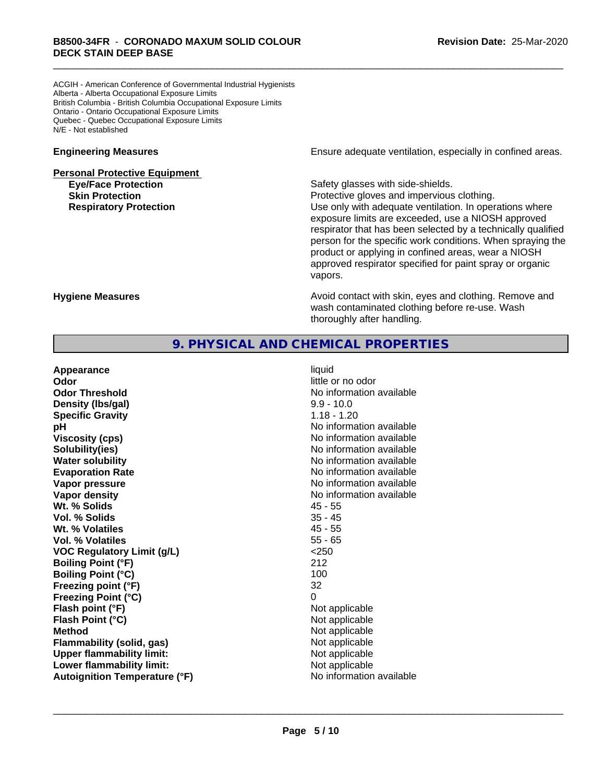ACGIH - American Conference of Governmental Industrial Hygienists Alberta - Alberta Occupational Exposure Limits British Columbia - British Columbia Occupational Exposure Limits Ontario - Ontario Occupational Exposure Limits Quebec - Quebec Occupational Exposure Limits N/E - Not established

# **Personal Protective Equipment Eye/Face Protection Safety glasses with side-shields.**

**Engineering Measures Engineering Measures Engineering Measures Ensure adequate ventilation, especially in confined areas.** 

**Skin Protection Protection Protective gloves and impervious clothing. Respiratory Protection Number 1** (Use only with adequate ventilation. In operations where exposure limits are exceeded, use a NIOSH approved respirator that has been selected by a technically qualified person for the specific work conditions. When spraying the product or applying in confined areas, wear a NIOSH approved respirator specified for paint spray or organic vapors.

**Hygiene Measures Avoid contact with skin, eyes and clothing. Remove and Avoid contact with skin, eyes and clothing. Remove and Avoid contact with skin, eyes and clothing. Remove and** wash contaminated clothing before re-use. Wash thoroughly after handling.

## **9. PHYSICAL AND CHEMICAL PROPERTIES**

| Appearance                           | liquid                   |
|--------------------------------------|--------------------------|
| Odor                                 | little or no odor        |
| <b>Odor Threshold</b>                | No information available |
| Density (Ibs/gal)                    | $9.9 - 10.0$             |
| <b>Specific Gravity</b>              | $1.18 - 1.20$            |
| pH                                   | No information available |
| <b>Viscosity (cps)</b>               | No information available |
| Solubility(ies)                      | No information available |
| <b>Water solubility</b>              | No information available |
| <b>Evaporation Rate</b>              | No information available |
| Vapor pressure                       | No information available |
| Vapor density                        | No information available |
| Wt. % Solids                         | $45 - 55$                |
| Vol. % Solids                        | $35 - 45$                |
| Wt. % Volatiles                      | $45 - 55$                |
| Vol. % Volatiles                     | $55 - 65$                |
| <b>VOC Regulatory Limit (g/L)</b>    | $<$ 250                  |
| <b>Boiling Point (°F)</b>            | 212                      |
| <b>Boiling Point (°C)</b>            | 100                      |
| Freezing point (°F)                  | 32                       |
| <b>Freezing Point (°C)</b>           | $\Omega$                 |
| Flash point (°F)                     | Not applicable           |
| Flash Point (°C)                     | Not applicable           |
| <b>Method</b>                        | Not applicable           |
| <b>Flammability (solid, gas)</b>     | Not applicable           |
| <b>Upper flammability limit:</b>     | Not applicable           |
| Lower flammability limit:            | Not applicable           |
| <b>Autoignition Temperature (°F)</b> | No information available |
|                                      |                          |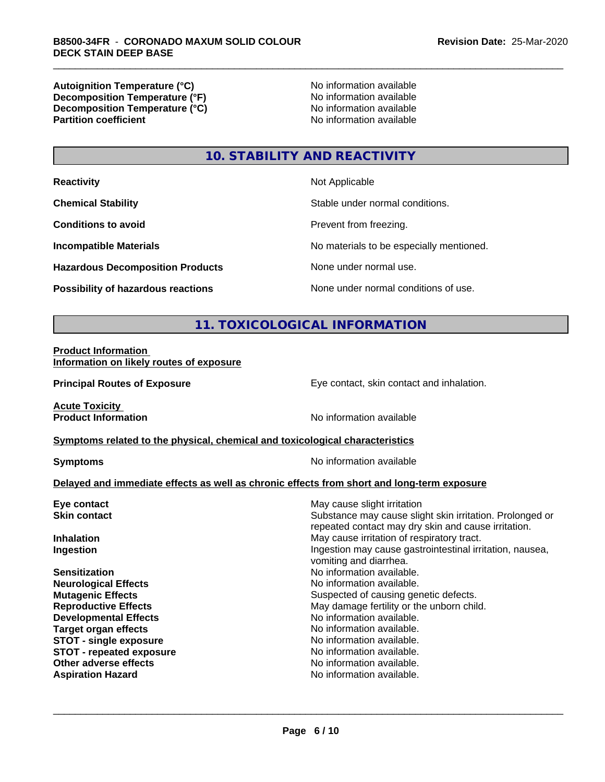**Autoignition Temperature (°C)**<br> **Decomposition Temperature (°F)** No information available **Decomposition Temperature (°F)**<br> **Decomposition Temperature (°C)**<br>
No information available **Decomposition Temperature (°C) Partition coefficient** 

# **10. STABILITY AND REACTIVITY**

| <b>Reactivity</b>                         | Not Applicable                           |
|-------------------------------------------|------------------------------------------|
| <b>Chemical Stability</b>                 | Stable under normal conditions.          |
| <b>Conditions to avoid</b>                | Prevent from freezing.                   |
| <b>Incompatible Materials</b>             | No materials to be especially mentioned. |
| <b>Hazardous Decomposition Products</b>   | None under normal use.                   |
| <b>Possibility of hazardous reactions</b> | None under normal conditions of use.     |

# **11. TOXICOLOGICAL INFORMATION**

#### **Product Information Information on likely routes of exposure**

**Principal Routes of Exposure Exposure** Eye contact, skin contact and inhalation.

**Acute Toxicity** 

**Product Information** No information available

#### **Symptoms** related to the physical, chemical and toxicological characteristics

**Symptoms** No information available

#### **Delayed and immediate effects as well as chronic effects from short and long-term exposure**

| Eye contact                     | May cause slight irritation                                                                                     |
|---------------------------------|-----------------------------------------------------------------------------------------------------------------|
| <b>Skin contact</b>             | Substance may cause slight skin irritation. Prolonged or<br>repeated contact may dry skin and cause irritation. |
| <b>Inhalation</b>               | May cause irritation of respiratory tract.                                                                      |
| Ingestion                       | Ingestion may cause gastrointestinal irritation, nausea,<br>vomiting and diarrhea.                              |
| <b>Sensitization</b>            | No information available.                                                                                       |
| <b>Neurological Effects</b>     | No information available.                                                                                       |
| <b>Mutagenic Effects</b>        | Suspected of causing genetic defects.                                                                           |
| <b>Reproductive Effects</b>     | May damage fertility or the unborn child.                                                                       |
| <b>Developmental Effects</b>    | No information available.                                                                                       |
| Target organ effects            | No information available.                                                                                       |
| <b>STOT - single exposure</b>   | No information available.                                                                                       |
| <b>STOT - repeated exposure</b> | No information available.                                                                                       |
| Other adverse effects           | No information available.                                                                                       |
| <b>Aspiration Hazard</b>        | No information available.                                                                                       |
|                                 |                                                                                                                 |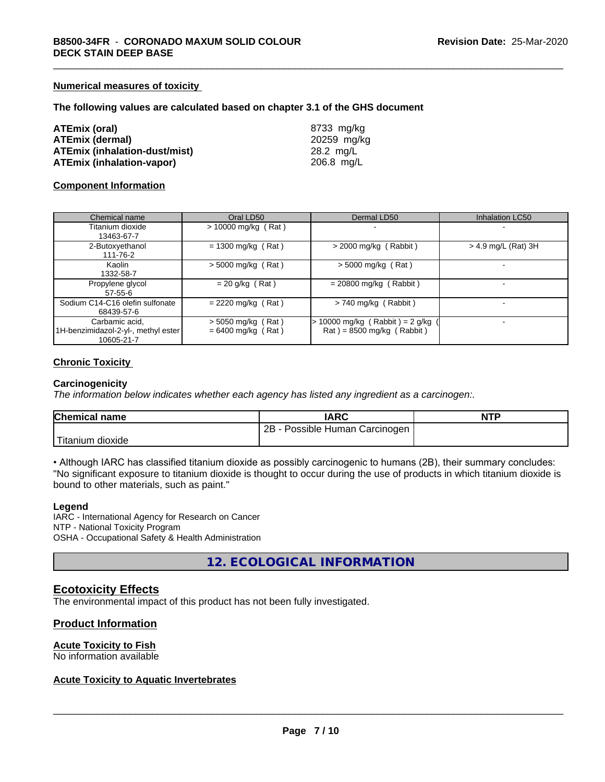#### **Numerical measures of toxicity**

#### **The following values are calculated based on chapter 3.1 of the GHS document**

| <b>ATEmix (oral)</b>   |                                      |
|------------------------|--------------------------------------|
| <b>ATEmix (dermal)</b> |                                      |
|                        | <b>ATEmix (inhalation-dust/mist)</b> |
|                        | <b>ATEmix (inhalation-vapor)</b>     |

**ATEmix (oral)** 8733 mg/kg **ATEmix (dermal)** 20259 mg/kg **ATEmix (inhalation-dust/mist)** 28.2 mg/L **ATEmix (inhalation-vapor)** 206.8 mg/L

#### **Component Information**

| Chemical name                                                       | Oral LD50                                    | Dermal LD50                                                    | <b>Inhalation LC50</b> |
|---------------------------------------------------------------------|----------------------------------------------|----------------------------------------------------------------|------------------------|
| Titanium dioxide<br>13463-67-7                                      | $> 10000$ mg/kg (Rat)                        | $\,$                                                           |                        |
| 2-Butoxyethanol<br>111-76-2                                         | $= 1300$ mg/kg (Rat)                         | $>$ 2000 mg/kg (Rabbit)                                        | $>$ 4.9 mg/L (Rat) 3H  |
| Kaolin<br>1332-58-7                                                 | $> 5000$ mg/kg (Rat)                         | $>$ 5000 mg/kg (Rat)                                           |                        |
| Propylene glycol<br>$57-55-6$                                       | $= 20$ g/kg (Rat)                            | $= 20800$ mg/kg (Rabbit)                                       |                        |
| Sodium C14-C16 olefin sulfonate<br>68439-57-6                       | $= 2220$ mg/kg (Rat)                         | $> 740$ mg/kg (Rabbit)                                         |                        |
| Carbamic acid,<br>1H-benzimidazol-2-yl-, methyl ester<br>10605-21-7 | $> 5050$ mg/kg (Rat)<br>$= 6400$ mg/kg (Rat) | 10000 mg/kg (Rabbit) = $2$ g/kg<br>$Rat$ = 8500 mg/kg (Rabbit) |                        |

#### **Chronic Toxicity**

#### **Carcinogenicity**

*The information below indicateswhether each agency has listed any ingredient as a carcinogen:.*

| <b>Chemical name</b>            | <b>IARC</b>                         | <b>NTP</b> |
|---------------------------------|-------------------------------------|------------|
|                                 | 2B<br>· Possible Human Carcinogen ! |            |
| l mate<br>∟dioxide<br>l itanium |                                     |            |

• Although IARC has classified titanium dioxide as possibly carcinogenic to humans (2B), their summary concludes: "No significant exposure to titanium dioxide is thought to occur during the use of products in which titanium dioxide is bound to other materials, such as paint."

#### **Legend**

IARC - International Agency for Research on Cancer NTP - National Toxicity Program OSHA - Occupational Safety & Health Administration

**12. ECOLOGICAL INFORMATION**

### **Ecotoxicity Effects**

The environmental impact of this product has not been fully investigated.

#### **Product Information**

#### **Acute Toxicity to Fish**

No information available

#### **Acute Toxicity to Aquatic Invertebrates**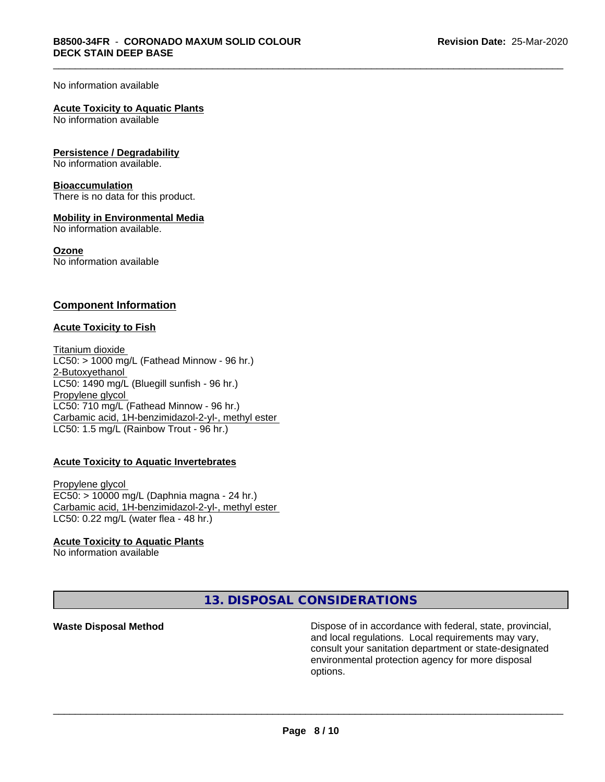#### No information available

#### **Acute Toxicity to Aquatic Plants**

No information available

#### **Persistence / Degradability**

No information available.

#### **Bioaccumulation**

There is no data for this product.

#### **Mobility in Environmental Media**

No information available.

#### **Ozone**

No information available

#### **Component Information**

#### **Acute Toxicity to Fish**

Titanium dioxide  $LC50:$  > 1000 mg/L (Fathead Minnow - 96 hr.) 2-Butoxyethanol LC50: 1490 mg/L (Bluegill sunfish - 96 hr.) Propylene glycol LC50: 710 mg/L (Fathead Minnow - 96 hr.) Carbamic acid, 1H-benzimidazol-2-yl-, methyl ester LC50: 1.5 mg/L (Rainbow Trout - 96 hr.)

#### **Acute Toxicity to Aquatic Invertebrates**

Propylene glycol EC50: > 10000 mg/L (Daphnia magna - 24 hr.) Carbamic acid, 1H-benzimidazol-2-yl-, methyl ester LC50: 0.22 mg/L (water flea - 48 hr.)

#### **Acute Toxicity to Aquatic Plants**

No information available

**13. DISPOSAL CONSIDERATIONS**

**Waste Disposal Method Dispose of in accordance with federal, state, provincial,** and local regulations. Local requirements may vary, consult your sanitation department or state-designated environmental protection agency for more disposal options.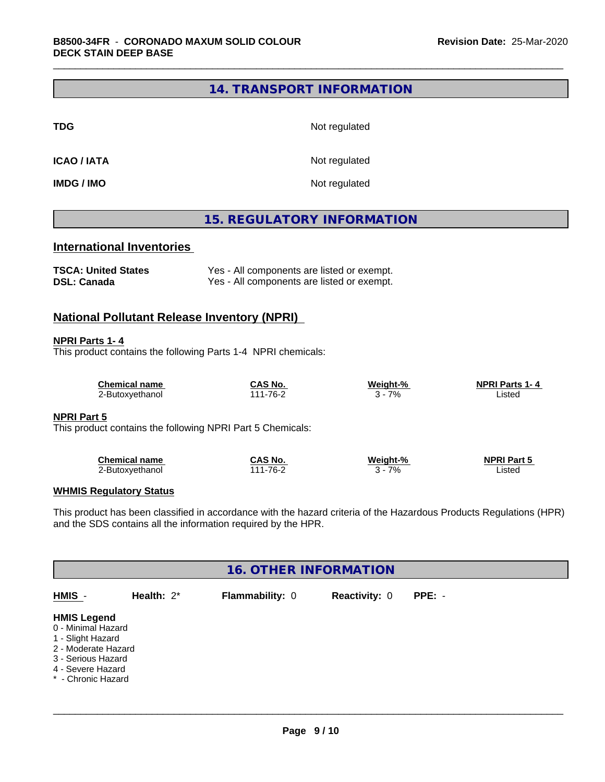## **14. TRANSPORT INFORMATION**

**TDG** Not regulated

**ICAO / IATA** Not regulated

**IMDG / IMO** Not regulated

# **15. REGULATORY INFORMATION**

# **International Inventories**

| <b>TSCA: United States</b> | Yes - All components are listed or exempt. |
|----------------------------|--------------------------------------------|
| <b>DSL: Canada</b>         | Yes - All components are listed or exempt. |

### **National Pollutant Release Inventory (NPRI)**

#### **NPRI Parts 1- 4**

This product contains the following Parts 1-4 NPRI chemicals:

| Chemical name   | CAS No.      | Weiaht-% | <b>NPRI Parts 1-4</b> |  |
|-----------------|--------------|----------|-----------------------|--|
| ∠-Butoxyethanol | $1 - 76 - ?$ | 7%       | istec                 |  |

#### **NPRI Part 5**

This product contains the following NPRI Part 5 Chemicals:

| <b>Chemical name</b> | CAS No            | <b>Weight-%</b> | <b>NPRI Part 5</b> |
|----------------------|-------------------|-----------------|--------------------|
| 2-Butoxvethanol      | $1 - 76 -$<br>.11 | 7%              | ∟isted             |

#### **WHMIS Regulatory Status**

This product has been classified in accordance with the hazard criteria of the Hazardous Products Regulations (HPR) and the SDS contains all the information required by the HPR.

| <b>16. OTHER INFORMATION</b>                                                                                                                          |               |                 |                      |          |  |  |  |
|-------------------------------------------------------------------------------------------------------------------------------------------------------|---------------|-----------------|----------------------|----------|--|--|--|
| HMIS -                                                                                                                                                | Health: $2^*$ | Flammability: 0 | <b>Reactivity: 0</b> | $PPE: -$ |  |  |  |
| <b>HMIS Legend</b><br>0 - Minimal Hazard<br>1 - Slight Hazard<br>2 - Moderate Hazard<br>3 - Serious Hazard<br>4 - Severe Hazard<br>* - Chronic Hazard |               |                 |                      |          |  |  |  |